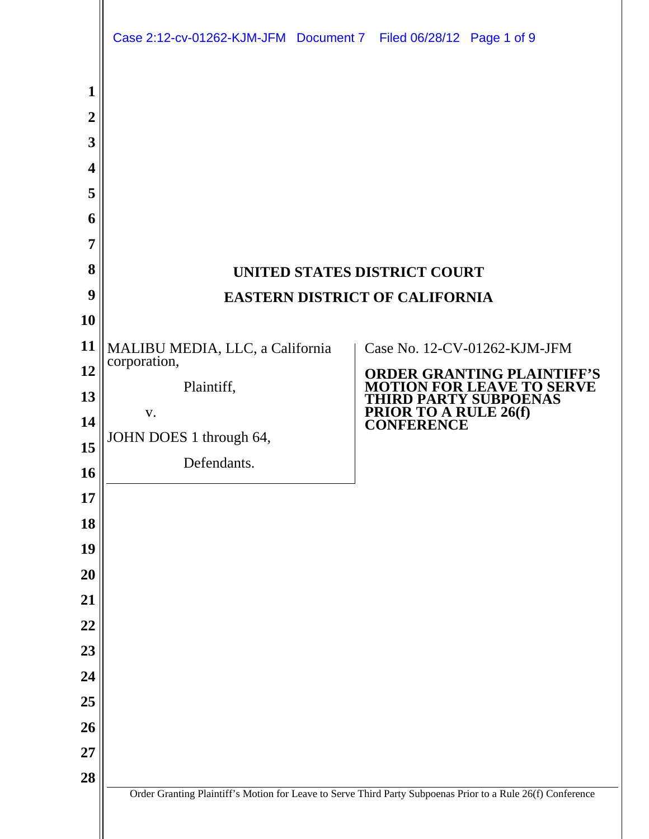|                                                                                                                                                                                              | Case 2:12-cv-01262-KJM-JFM Document 7 Filed 06/28/12 Page 1 of 9                                              |                                                                                                                                                                                                                                                             |
|----------------------------------------------------------------------------------------------------------------------------------------------------------------------------------------------|---------------------------------------------------------------------------------------------------------------|-------------------------------------------------------------------------------------------------------------------------------------------------------------------------------------------------------------------------------------------------------------|
| $\mathbf 1$<br>$\overline{2}$<br>3<br>$\overline{\mathbf{4}}$<br>5<br>6<br>7<br>8<br>9<br>10<br>11<br>12<br>13<br>14<br>15<br>16<br>17<br>18<br>19<br>20<br>21<br>22<br>23<br>24<br>25<br>26 | MALIBU MEDIA, LLC, a California<br>corporation,<br>Plaintiff,<br>V.<br>JOHN DOES 1 through 64,<br>Defendants. | UNITED STATES DISTRICT COURT<br><b>EASTERN DISTRICT OF CALIFORNIA</b><br>Case No. 12-CV-01262-KJM-JFM<br><b>ORDER GRANTING PLAINTIFF'S</b><br><b>MOTION FOR LEAVE TO SERVE</b><br><b>HIRD PARTY SUBPOENAS</b><br><b>PRIOR TO A RULE 26(f)</b><br>CONFERENCE |
| <b>27</b><br>28                                                                                                                                                                              |                                                                                                               | Order Granting Plaintiff's Motion for Leave to Serve Third Party Subpoenas Prior to a Rule 26(f) Conference                                                                                                                                                 |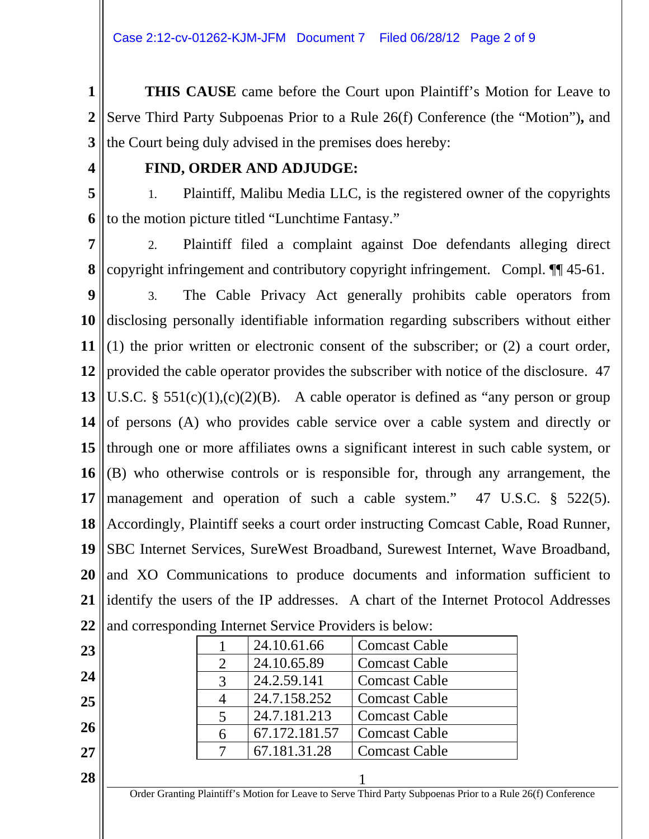**1 2 3 THIS CAUSE** came before the Court upon Plaintiff's Motion for Leave to Serve Third Party Subpoenas Prior to a Rule 26(f) Conference (the "Motion")**,** and the Court being duly advised in the premises does hereby:

**4**

## **FIND, ORDER AND ADJUDGE:**

**5 6** 1. Plaintiff, Malibu Media LLC, is the registered owner of the copyrights to the motion picture titled "Lunchtime Fantasy."

**7 8** 2. Plaintiff filed a complaint against Doe defendants alleging direct copyright infringement and contributory copyright infringement. Compl. ¶¶ 45-61.

**9 10 11 12 13 14 15 16 17 18 19 20 21 22** 3. The Cable Privacy Act generally prohibits cable operators from disclosing personally identifiable information regarding subscribers without either (1) the prior written or electronic consent of the subscriber; or (2) a court order, provided the cable operator provides the subscriber with notice of the disclosure. 47 U.S.C. §  $551(c)(1)$ , $(c)(2)(B)$ . A cable operator is defined as "any person or group of persons (A) who provides cable service over a cable system and directly or through one or more affiliates owns a significant interest in such cable system, or (B) who otherwise controls or is responsible for, through any arrangement, the management and operation of such a cable system." 47 U.S.C. § 522(5). Accordingly, Plaintiff seeks a court order instructing Comcast Cable, Road Runner, SBC Internet Services, SureWest Broadband, Surewest Internet, Wave Broadband, and XO Communications to produce documents and information sufficient to identify the users of the IP addresses. A chart of the Internet Protocol Addresses and corresponding Internet Service Providers is below:

**23**

**24**

**25**

**26**

|   | 24.10.61.66   | <b>Comcast Cable</b> |
|---|---------------|----------------------|
|   | 24.10.65.89   | <b>Comcast Cable</b> |
|   | 24.2.59.141   | <b>Comcast Cable</b> |
|   | 24.7.158.252  | <b>Comcast Cable</b> |
|   | 24.7.181.213  | <b>Comcast Cable</b> |
| 6 | 67.172.181.57 | <b>Comcast Cable</b> |
|   | 67.181.31.28  | <b>Comcast Cable</b> |

**28**  $\|$  1

**27**

Order Granting Plaintiff's Motion for Leave to Serve Third Party Subpoenas Prior to a Rule 26(f) Conference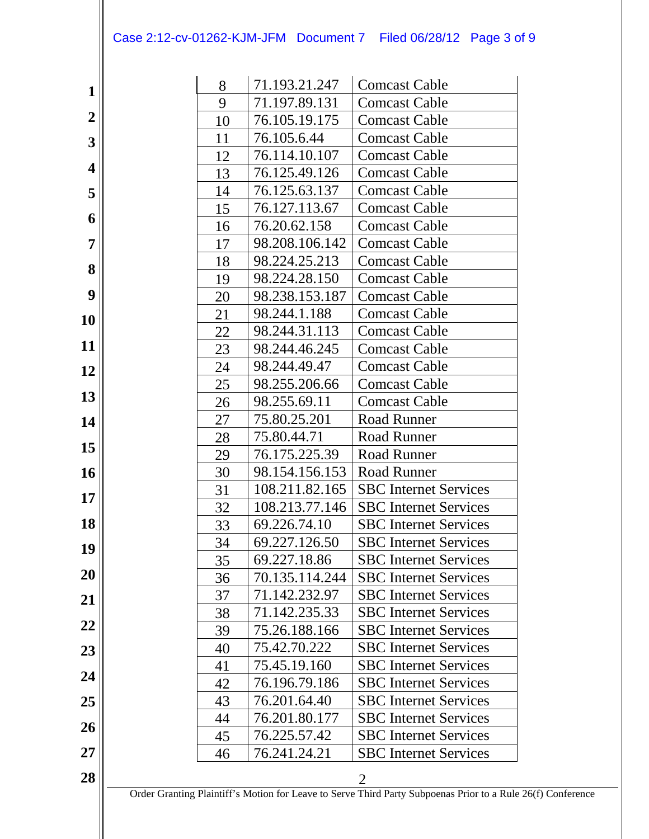## Case 2:12-cv-01262-KJM-JFM Document 7 Filed 06/28/12 Page 3 of 9

|                         | 8        | 71.193.21.247                  | <b>Comcast Cable</b>                                                                                                          |
|-------------------------|----------|--------------------------------|-------------------------------------------------------------------------------------------------------------------------------|
| $\mathbf{1}$            | 9        | 71.197.89.131                  | <b>Comcast Cable</b>                                                                                                          |
| $\boldsymbol{2}$        | 10       | 76.105.19.175                  | <b>Comcast Cable</b>                                                                                                          |
| 3                       | 11       | 76.105.6.44                    | <b>Comcast Cable</b>                                                                                                          |
|                         | 12       | 76.114.10.107                  | <b>Comcast Cable</b>                                                                                                          |
| $\overline{\mathbf{4}}$ | 13       | 76.125.49.126                  | <b>Comcast Cable</b>                                                                                                          |
| 5                       | 14       | 76.125.63.137                  | <b>Comcast Cable</b>                                                                                                          |
|                         | 15       | 76.127.113.67                  | <b>Comcast Cable</b>                                                                                                          |
| 6                       | 16       | 76.20.62.158                   | <b>Comcast Cable</b>                                                                                                          |
| $\overline{7}$          | 17       | 98.208.106.142                 | <b>Comcast Cable</b>                                                                                                          |
| 8                       | 18       | 98.224.25.213                  | <b>Comcast Cable</b>                                                                                                          |
|                         | 19       | 98.224.28.150                  | <b>Comcast Cable</b>                                                                                                          |
| 9                       | 20       | 98.238.153.187                 | <b>Comcast Cable</b>                                                                                                          |
| <b>10</b>               | 21       | 98.244.1.188                   | <b>Comcast Cable</b>                                                                                                          |
|                         | 22       | 98.244.31.113                  | <b>Comcast Cable</b>                                                                                                          |
| 11                      | 23       | 98.244.46.245                  | <b>Comcast Cable</b>                                                                                                          |
| 12                      | 24       | 98.244.49.47                   | <b>Comcast Cable</b>                                                                                                          |
|                         | 25       | 98.255.206.66                  | <b>Comcast Cable</b>                                                                                                          |
| 13                      | 26       | 98.255.69.11                   | <b>Comcast Cable</b>                                                                                                          |
| 14                      | 27       | 75.80.25.201                   | <b>Road Runner</b>                                                                                                            |
| 15                      | 28       | 75.80.44.71                    | Road Runner                                                                                                                   |
|                         | 29       | 76.175.225.39                  | <b>Road Runner</b>                                                                                                            |
| 16                      | 30       | 98.154.156.153                 | <b>Road Runner</b>                                                                                                            |
| 17                      | 31       | 108.211.82.165                 | <b>SBC</b> Internet Services                                                                                                  |
|                         | 32       | 108.213.77.146                 | <b>SBC</b> Internet Services                                                                                                  |
| 18                      | 33       | 69.226.74.10                   | <b>SBC</b> Internet Services                                                                                                  |
| 19                      | 34       | 69.227.126.50                  | <b>SBC</b> Internet Services                                                                                                  |
| 20                      | 35       | 69.227.18.86                   | <b>SBC</b> Internet Services                                                                                                  |
|                         | 36       | 70.135.114.244                 | <b>SBC</b> Internet Services                                                                                                  |
| 21                      | 37       | 71.142.232.97<br>71.142.235.33 | <b>SBC</b> Internet Services                                                                                                  |
| 22                      | 38       |                                | <b>SBC</b> Internet Services                                                                                                  |
|                         | 39       | 75.26.188.166<br>75.42.70.222  | <b>SBC</b> Internet Services<br><b>SBC</b> Internet Services                                                                  |
| 23                      | 40       | 75.45.19.160                   | <b>SBC</b> Internet Services                                                                                                  |
| 24                      | 41<br>42 | 76.196.79.186                  | <b>SBC</b> Internet Services                                                                                                  |
| 25                      | 43       | 76.201.64.40                   | <b>SBC</b> Internet Services                                                                                                  |
|                         | 44       | 76.201.80.177                  | <b>SBC</b> Internet Services                                                                                                  |
| 26                      | 45       | 76.225.57.42                   | <b>SBC</b> Internet Services                                                                                                  |
| 27                      | 46       | 76.241.24.21                   | <b>SBC</b> Internet Services                                                                                                  |
|                         |          |                                |                                                                                                                               |
| 28                      |          |                                | $\overline{2}$<br>Order Granting Plaintiff's Motion for Leave to Serve Third Party Subpoenas Prior to a Rule 26(f) Conference |
|                         |          |                                |                                                                                                                               |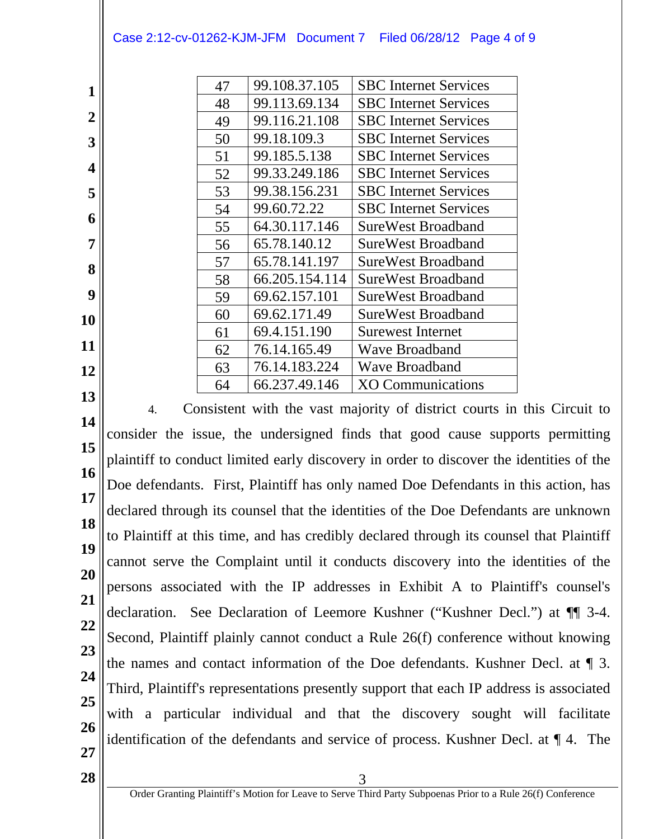47 | 99.108.37.105 | SBC Internet Services 48 | 99.113.69.134 | SBC Internet Services 49 | 99.116.21.108 | SBC Internet Services

**1 2**

**3 4**

**6 7**

**5**

- **8**
- **9**
- **10**
- **11**
- **12**
- **13**

50 99.18.109.3 SBC Internet Services 51 99.185.5.138 SBC Internet Services 52 99.33.249.186 SBC Internet Services 53 99.38.156.231 SBC Internet Services 54 99.60.72.22 SBC Internet Services 55 64.30.117.146 SureWest Broadband 56 65.78.140.12 SureWest Broadband 57 65.78.141.197 SureWest Broadband 58 66.205.154.114 SureWest Broadband 59 69.62.157.101 SureWest Broadband 60 69.62.171.49 SureWest Broadband 61 69.4.151.190 Surewest Internet 62 76.14.165.49 Wave Broadband 63 76.14.183.224 Wave Broadband

64 66.237.49.146 XO Communications

- **14 15 16 17 18 19 20 21 22 23 24 25 26 27** 4. Consistent with the vast majority of district courts in this Circuit to consider the issue, the undersigned finds that good cause supports permitting plaintiff to conduct limited early discovery in order to discover the identities of the Doe defendants. First, Plaintiff has only named Doe Defendants in this action, has declared through its counsel that the identities of the Doe Defendants are unknown to Plaintiff at this time, and has credibly declared through its counsel that Plaintiff cannot serve the Complaint until it conducts discovery into the identities of the persons associated with the IP addresses in Exhibit A to Plaintiff's counsel's declaration. See Declaration of Leemore Kushner ("Kushner Decl.") at ¶¶ 3-4. Second, Plaintiff plainly cannot conduct a Rule 26(f) conference without knowing the names and contact information of the Doe defendants. Kushner Decl. at ¶ 3. Third, Plaintiff's representations presently support that each IP address is associated with a particular individual and that the discovery sought will facilitate identification of the defendants and service of process. Kushner Decl. at ¶ 4. The
- $28$   $\frac{3}{2}$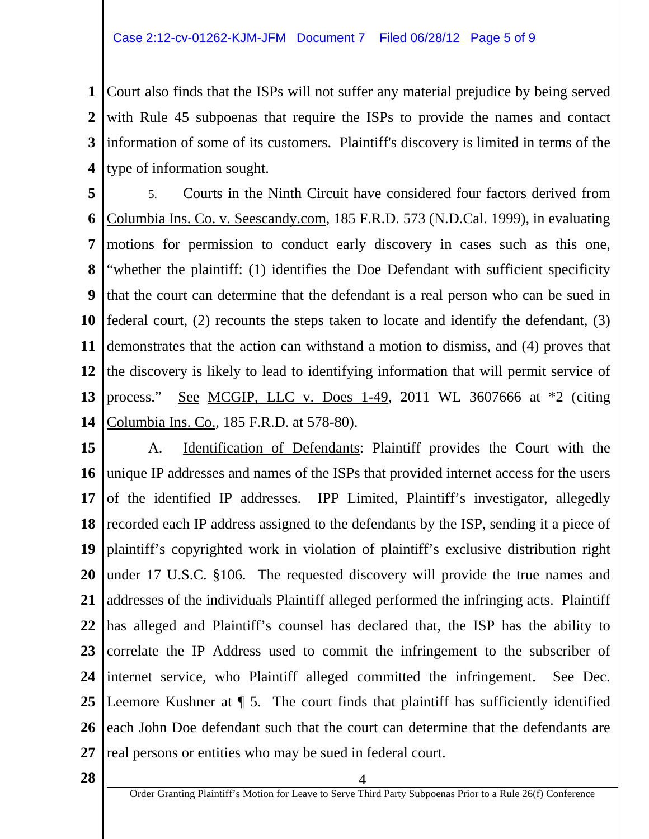**1 2 3 4** Court also finds that the ISPs will not suffer any material prejudice by being served with Rule 45 subpoenas that require the ISPs to provide the names and contact information of some of its customers. Plaintiff's discovery is limited in terms of the type of information sought.

**5 6 7 8 9 10 11 12 13 14** 5. Courts in the Ninth Circuit have considered four factors derived from Columbia Ins. Co. v. Seescandy.com, 185 F.R.D. 573 (N.D.Cal. 1999), in evaluating motions for permission to conduct early discovery in cases such as this one, "whether the plaintiff: (1) identifies the Doe Defendant with sufficient specificity that the court can determine that the defendant is a real person who can be sued in federal court, (2) recounts the steps taken to locate and identify the defendant, (3) demonstrates that the action can withstand a motion to dismiss, and (4) proves that the discovery is likely to lead to identifying information that will permit service of process." See MCGIP, LLC v. Does  $1-49$ , 2011 WL 3607666 at  $*2$  (citing Columbia Ins. Co., 185 F.R.D. at 578-80).

**15 16 17 18 19 20 21 22 23 24 25 26 27** A. Identification of Defendants: Plaintiff provides the Court with the unique IP addresses and names of the ISPs that provided internet access for the users of the identified IP addresses. IPP Limited, Plaintiff's investigator, allegedly recorded each IP address assigned to the defendants by the ISP, sending it a piece of plaintiff's copyrighted work in violation of plaintiff's exclusive distribution right under 17 U.S.C. §106. The requested discovery will provide the true names and addresses of the individuals Plaintiff alleged performed the infringing acts. Plaintiff has alleged and Plaintiff's counsel has declared that, the ISP has the ability to correlate the IP Address used to commit the infringement to the subscriber of internet service, who Plaintiff alleged committed the infringement. See Dec. Leemore Kushner at ¶ 5. The court finds that plaintiff has sufficiently identified each John Doe defendant such that the court can determine that the defendants are real persons or entities who may be sued in federal court.

**28**  $\|$  4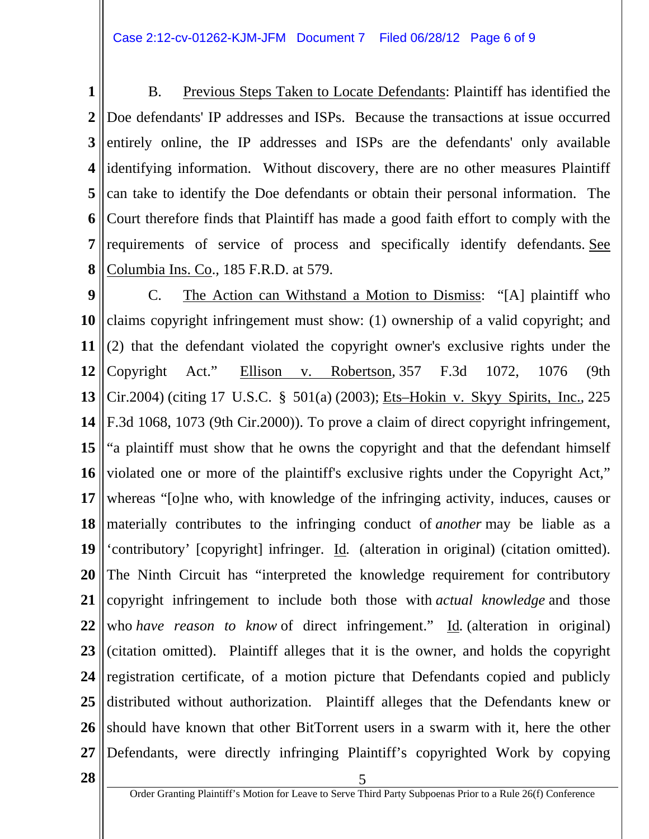**1 2 3 4 5 6 7 8** B. Previous Steps Taken to Locate Defendants: Plaintiff has identified the Doe defendants' IP addresses and ISPs. Because the transactions at issue occurred entirely online, the IP addresses and ISPs are the defendants' only available identifying information. Without discovery, there are no other measures Plaintiff can take to identify the Doe defendants or obtain their personal information. The Court therefore finds that Plaintiff has made a good faith effort to comply with the requirements of service of process and specifically identify defendants. See Columbia Ins. Co.*,* 185 F.R.D. at 579.

**9 10 11 12 13 14 15 16 17 18 19 20 21 22 23 24 25 26 27** C. The Action can Withstand a Motion to Dismiss: "[A] plaintiff who claims copyright infringement must show: (1) ownership of a valid copyright; and (2) that the defendant violated the copyright owner's exclusive rights under the Copyright Act." Ellison v. Robertson*,* 357 F.3d 1072, 1076 (9th Cir.2004) (citing 17 U.S.C. § 501(a) (2003); Ets–Hokin v. Skyy Spirits, Inc.*,* 225 F.3d 1068, 1073 (9th Cir.2000)). To prove a claim of direct copyright infringement, "a plaintiff must show that he owns the copyright and that the defendant himself violated one or more of the plaintiff's exclusive rights under the Copyright Act," whereas "[o]ne who, with knowledge of the infringing activity, induces, causes or materially contributes to the infringing conduct of *another* may be liable as a 'contributory' [copyright] infringer. Id*.* (alteration in original) (citation omitted). The Ninth Circuit has "interpreted the knowledge requirement for contributory copyright infringement to include both those with *actual knowledge* and those who *have reason to know* of direct infringement." Id. (alteration in original) (citation omitted). Plaintiff alleges that it is the owner, and holds the copyright registration certificate, of a motion picture that Defendants copied and publicly distributed without authorization. Plaintiff alleges that the Defendants knew or should have known that other BitTorrent users in a swarm with it, here the other Defendants, were directly infringing Plaintiff's copyrighted Work by copying

 $28$   $\frac{1}{2}$   $\frac{5}{2}$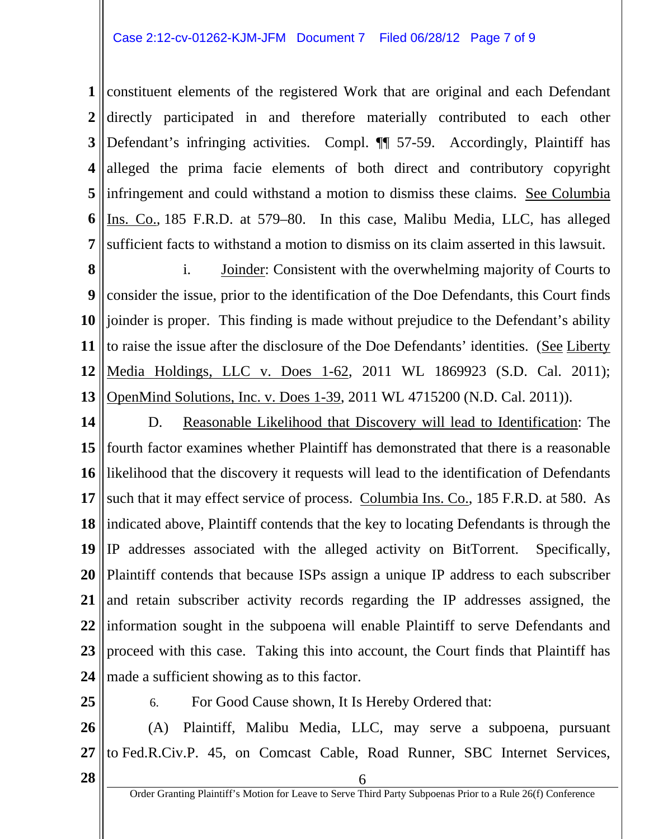**1 2 3 4 5 6 7** constituent elements of the registered Work that are original and each Defendant directly participated in and therefore materially contributed to each other Defendant's infringing activities. Compl.  $\P$  57-59. Accordingly, Plaintiff has alleged the prima facie elements of both direct and contributory copyright infringement and could withstand a motion to dismiss these claims. See Columbia Ins. Co.*,* 185 F.R.D. at 579–80. In this case, Malibu Media, LLC, has alleged sufficient facts to withstand a motion to dismiss on its claim asserted in this lawsuit.

**8 9 10 11 12 13** i. Joinder: Consistent with the overwhelming majority of Courts to consider the issue, prior to the identification of the Doe Defendants, this Court finds joinder is proper. This finding is made without prejudice to the Defendant's ability to raise the issue after the disclosure of the Doe Defendants' identities. (See Liberty Media Holdings, LLC v. Does 1-62, 2011 WL 1869923 (S.D. Cal. 2011); OpenMind Solutions, Inc. v. Does 1-39, 2011 WL 4715200 (N.D. Cal. 2011)).

**14 15 16 17 18 19 20 21 22 23 24** D. Reasonable Likelihood that Discovery will lead to Identification: The fourth factor examines whether Plaintiff has demonstrated that there is a reasonable likelihood that the discovery it requests will lead to the identification of Defendants such that it may effect service of process. Columbia Ins. Co., 185 F.R.D. at 580. As indicated above, Plaintiff contends that the key to locating Defendants is through the IP addresses associated with the alleged activity on BitTorrent. Specifically, Plaintiff contends that because ISPs assign a unique IP address to each subscriber and retain subscriber activity records regarding the IP addresses assigned, the information sought in the subpoena will enable Plaintiff to serve Defendants and proceed with this case. Taking this into account, the Court finds that Plaintiff has made a sufficient showing as to this factor.

**25**

6. For Good Cause shown, It Is Hereby Ordered that:

**26 27** (A) Plaintiff, Malibu Media, LLC, may serve a subpoena, pursuant to Fed.R.Civ.P. 45, on Comcast Cable, Road Runner, SBC Internet Services,

 $\begin{array}{c|c|c|c|c} \hline \textbf{28} & \textbf{6} \end{array}$ 

Order Granting Plaintiff's Motion for Leave to Serve Third Party Subpoenas Prior to a Rule 26(f) Conference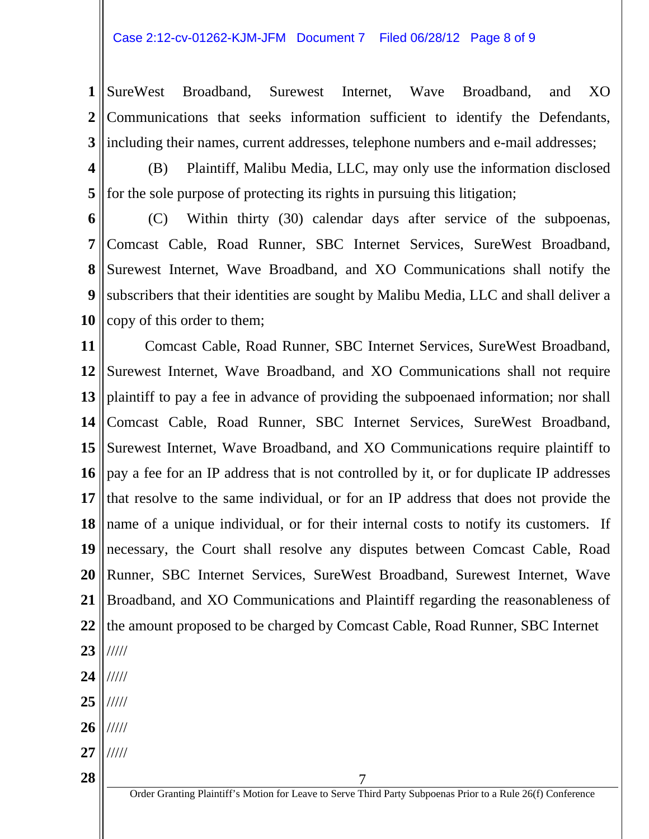**1 2 3** SureWest Broadband, Surewest Internet, Wave Broadband, and XO Communications that seeks information sufficient to identify the Defendants, including their names, current addresses, telephone numbers and e-mail addresses;

**4**

**5**

(B) Plaintiff, Malibu Media, LLC, may only use the information disclosed for the sole purpose of protecting its rights in pursuing this litigation;

**6 7 8 9 10** (C) Within thirty (30) calendar days after service of the subpoenas, Comcast Cable, Road Runner, SBC Internet Services, SureWest Broadband, Surewest Internet, Wave Broadband, and XO Communications shall notify the subscribers that their identities are sought by Malibu Media, LLC and shall deliver a copy of this order to them;

**11 12 13 14 15 16 17 18 19 20 21 22 23 24 25** Comcast Cable, Road Runner, SBC Internet Services, SureWest Broadband, Surewest Internet, Wave Broadband, and XO Communications shall not require plaintiff to pay a fee in advance of providing the subpoenaed information; nor shall Comcast Cable, Road Runner, SBC Internet Services, SureWest Broadband, Surewest Internet, Wave Broadband, and XO Communications require plaintiff to pay a fee for an IP address that is not controlled by it, or for duplicate IP addresses that resolve to the same individual, or for an IP address that does not provide the name of a unique individual, or for their internal costs to notify its customers. If necessary, the Court shall resolve any disputes between Comcast Cable, Road Runner, SBC Internet Services, SureWest Broadband, Surewest Internet, Wave Broadband, and XO Communications and Plaintiff regarding the reasonableness of the amount proposed to be charged by Comcast Cable, Road Runner, SBC Internet ///// ///// /////

- **26** /////
- **27** /////

**28**  $\parallel$  7

Order Granting Plaintiff's Motion for Leave to Serve Third Party Subpoenas Prior to a Rule 26(f) Conference